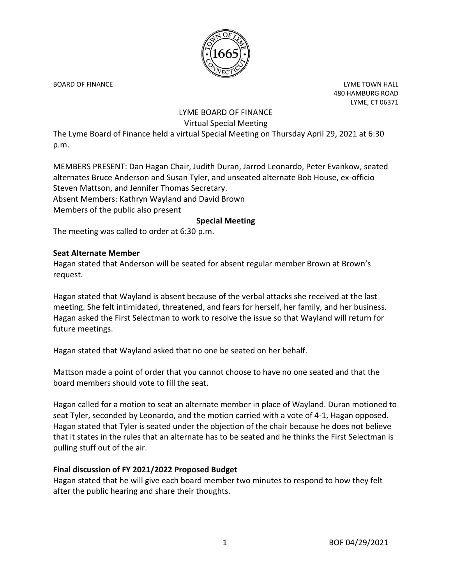

BOARD OF FINANCE **Little Struck and Struck and Struck and Struck and Struck and Struck and Struck and Struck and Struck and Struck and Struck and Struck and Struck and Struck and Struck and Struck and Struck and Struck and** 480 HAMBURG ROAD LYME, CT 06371

# LYME BOARD OF FINANCE Virtual Special Meeting

The Lyme Board of Finance held a virtual Special Meeting on Thursday April 29, 2021 at 6:30 p.m.

MEMBERS PRESENT: Dan Hagan Chair, Judith Duran, Jarrod Leonardo, Peter Evankow, seated alternates Bruce Anderson and Susan Tyler, and unseated alternate Bob House, ex-officio Steven Mattson, and Jennifer Thomas Secretary. Absent Members: Kathryn Wayland and David Brown Members of the public also present

## **Special Meeting**

The meeting was called to order at 6:30 p.m.

#### **Seat Alternate Member**

Hagan stated that Anderson will be seated for absent regular member Brown at Brown's request.

Hagan stated that Wayland is absent because of the verbal attacks she received at the last meeting. She felt intimidated, threatened, and fears for herself, her family, and her business. Hagan asked the First Selectman to work to resolve the issue so that Wayland will return for future meetings.

Hagan stated that Wayland asked that no one be seated on her behalf.

Mattson made a point of order that you cannot choose to have no one seated and that the board members should vote to fill the seat.

Hagan called for a motion to seat an alternate member in place of Wayland. Duran motioned to seat Tyler, seconded by Leonardo, and the motion carried with a vote of 4-1, Hagan opposed. Hagan stated that Tyler is seated under the objection of the chair because he does not believe that it states in the rules that an alternate has to be seated and he thinks the First Selectman is pulling stuff out of the air.

## **Final discussion of FY 2021/2022 Proposed Budget**

Hagan stated that he will give each board member two minutes to respond to how they felt after the public hearing and share their thoughts.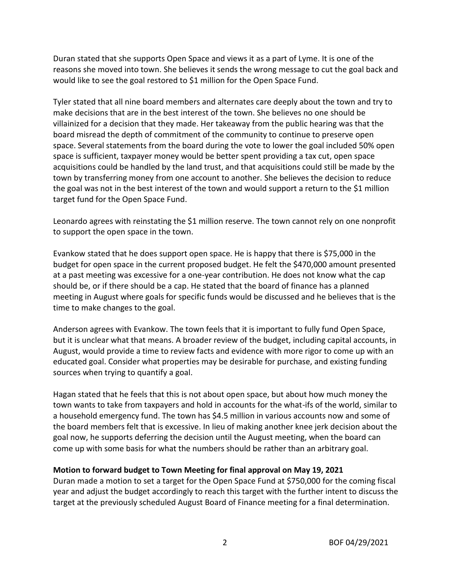Duran stated that she supports Open Space and views it as a part of Lyme. It is one of the reasons she moved into town. She believes it sends the wrong message to cut the goal back and would like to see the goal restored to \$1 million for the Open Space Fund.

Tyler stated that all nine board members and alternates care deeply about the town and try to make decisions that are in the best interest of the town. She believes no one should be villainized for a decision that they made. Her takeaway from the public hearing was that the board misread the depth of commitment of the community to continue to preserve open space. Several statements from the board during the vote to lower the goal included 50% open space is sufficient, taxpayer money would be better spent providing a tax cut, open space acquisitions could be handled by the land trust, and that acquisitions could still be made by the town by transferring money from one account to another. She believes the decision to reduce the goal was not in the best interest of the town and would support a return to the \$1 million target fund for the Open Space Fund.

Leonardo agrees with reinstating the \$1 million reserve. The town cannot rely on one nonprofit to support the open space in the town.

Evankow stated that he does support open space. He is happy that there is \$75,000 in the budget for open space in the current proposed budget. He felt the \$470,000 amount presented at a past meeting was excessive for a one-year contribution. He does not know what the cap should be, or if there should be a cap. He stated that the board of finance has a planned meeting in August where goals for specific funds would be discussed and he believes that is the time to make changes to the goal.

Anderson agrees with Evankow. The town feels that it is important to fully fund Open Space, but it is unclear what that means. A broader review of the budget, including capital accounts, in August, would provide a time to review facts and evidence with more rigor to come up with an educated goal. Consider what properties may be desirable for purchase, and existing funding sources when trying to quantify a goal.

Hagan stated that he feels that this is not about open space, but about how much money the town wants to take from taxpayers and hold in accounts for the what-ifs of the world, similar to a household emergency fund. The town has \$4.5 million in various accounts now and some of the board members felt that is excessive. In lieu of making another knee jerk decision about the goal now, he supports deferring the decision until the August meeting, when the board can come up with some basis for what the numbers should be rather than an arbitrary goal.

## **Motion to forward budget to Town Meeting for final approval on May 19, 2021**

Duran made a motion to set a target for the Open Space Fund at \$750,000 for the coming fiscal year and adjust the budget accordingly to reach this target with the further intent to discuss the target at the previously scheduled August Board of Finance meeting for a final determination.